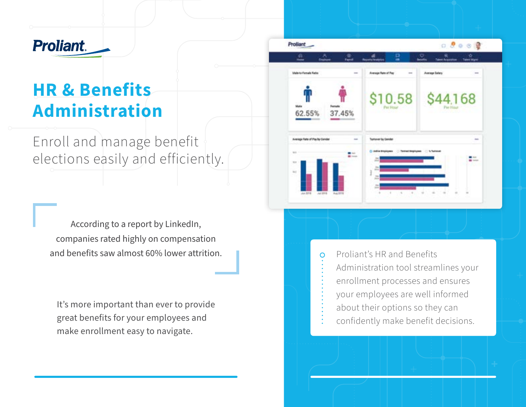# **Proliant.**

# **HR & Benefits Administration**

Enroll and manage benefit elections easily and efficiently.

According to a report by LinkedIn, companies rated highly on compensation and benefits saw almost 60% lower attrition.

It's more important than ever to provide great benefits for your employees and make enrollment easy to navigate.



Proliant's HR and Benefits Administration tool streamlines your enrollment processes and ensures your employees are well informed about their options so they can confidently make benefit decisions.

 $\circ$